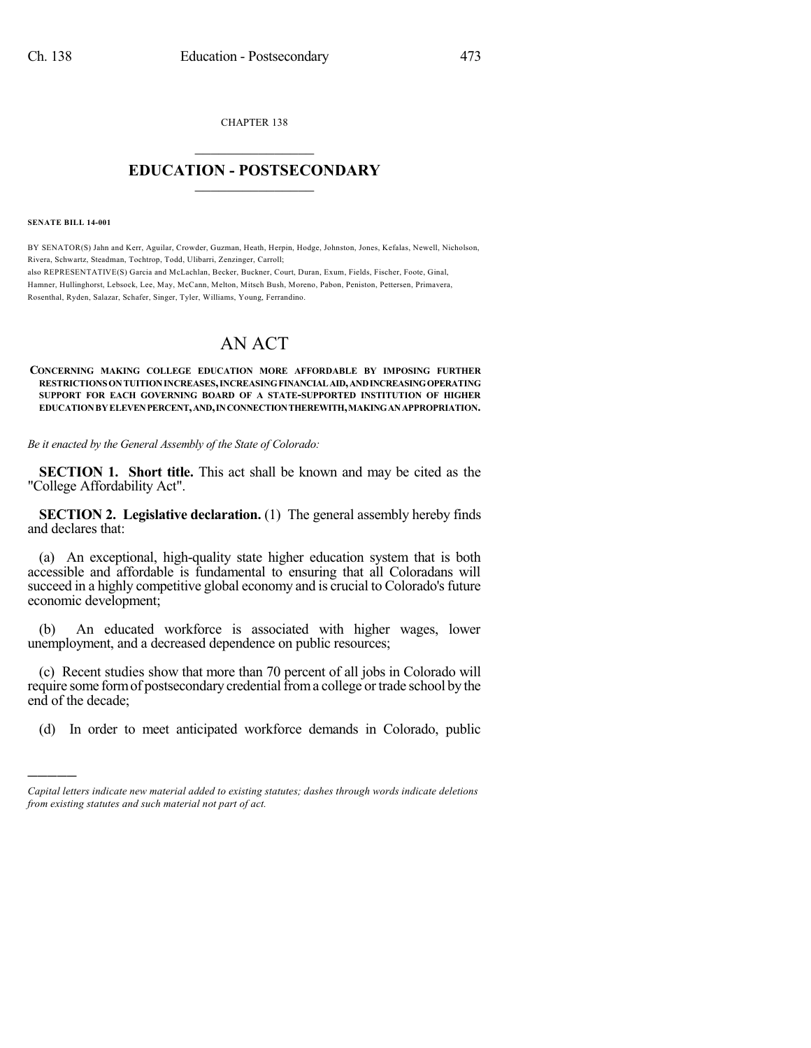CHAPTER 138  $\mathcal{L}_\text{max}$  . The set of the set of the set of the set of the set of the set of the set of the set of the set of the set of the set of the set of the set of the set of the set of the set of the set of the set of the set

## **EDUCATION - POSTSECONDARY**  $\_$   $\_$   $\_$   $\_$   $\_$   $\_$   $\_$   $\_$   $\_$

**SENATE BILL 14-001**

)))))

BY SENATOR(S) Jahn and Kerr, Aguilar, Crowder, Guzman, Heath, Herpin, Hodge, Johnston, Jones, Kefalas, Newell, Nicholson, Rivera, Schwartz, Steadman, Tochtrop, Todd, Ulibarri, Zenzinger, Carroll; also REPRESENTATIVE(S) Garcia and McLachlan, Becker, Buckner, Court, Duran, Exum, Fields, Fischer, Foote, Ginal, Hamner, Hullinghorst, Lebsock, Lee, May, McCann, Melton, Mitsch Bush, Moreno, Pabon, Peniston, Pettersen, Primavera, Rosenthal, Ryden, Salazar, Schafer, Singer, Tyler, Williams, Young, Ferrandino.

## AN ACT

**CONCERNING MAKING COLLEGE EDUCATION MORE AFFORDABLE BY IMPOSING FURTHER RESTRICTIONS ONTUITIONINCREASES,INCREASINGFINANCIALAID,ANDINCREASINGOPERATING SUPPORT FOR EACH GOVERNING BOARD OF A STATE-SUPPORTED INSTITUTION OF HIGHER EDUCATIONBYELEVENPERCENT,AND,INCONNECTIONTHEREWITH,MAKINGANAPPROPRIATION.**

*Be it enacted by the General Assembly of the State of Colorado:*

**SECTION 1. Short title.** This act shall be known and may be cited as the "College Affordability Act".

**SECTION 2. Legislative declaration.** (1) The general assembly hereby finds and declares that:

(a) An exceptional, high-quality state higher education system that is both accessible and affordable is fundamental to ensuring that all Coloradans will succeed in a highly competitive global economy and is crucial to Colorado's future economic development;

(b) An educated workforce is associated with higher wages, lower unemployment, and a decreased dependence on public resources;

(c) Recent studies show that more than 70 percent of all jobs in Colorado will require some form of postsecondary credential from a college or trade school by the end of the decade;

(d) In order to meet anticipated workforce demands in Colorado, public

*Capital letters indicate new material added to existing statutes; dashes through words indicate deletions from existing statutes and such material not part of act.*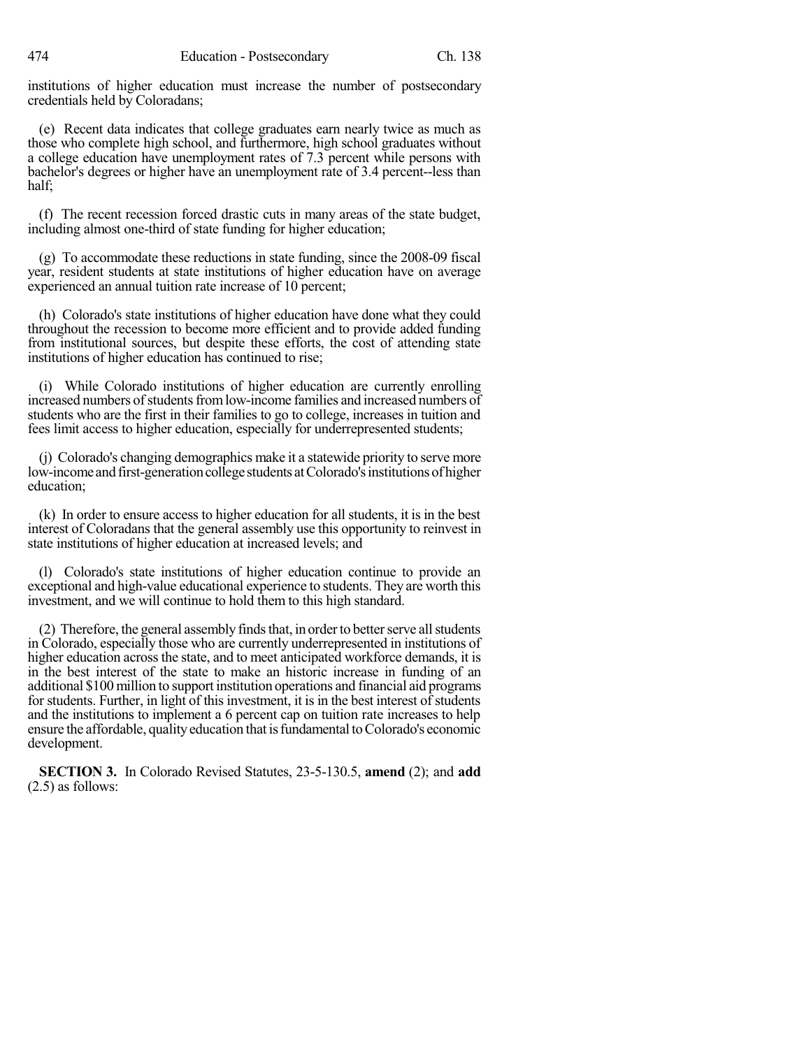institutions of higher education must increase the number of postsecondary credentials held by Coloradans;

(e) Recent data indicates that college graduates earn nearly twice as much as those who complete high school, and furthermore, high school graduates without a college education have unemployment rates of 7.3 percent while persons with bachelor's degrees or higher have an unemployment rate of 3.4 percent--less than half;

(f) The recent recession forced drastic cuts in many areas of the state budget, including almost one-third of state funding for higher education;

(g) To accommodate these reductions in state funding, since the 2008-09 fiscal year, resident students at state institutions of higher education have on average experienced an annual tuition rate increase of 10 percent;

(h) Colorado's state institutions of higher education have done what they could throughout the recession to become more efficient and to provide added funding from institutional sources, but despite these efforts, the cost of attending state institutions of higher education has continued to rise;

(i) While Colorado institutions of higher education are currently enrolling increased numbers of students from low-income families and increased numbers of students who are the first in their families to go to college, increases in tuition and fees limit access to higher education, especially for underrepresented students;

(j) Colorado's changing demographics make it a statewide priority to serve more low-income and first-generation college students at Colorado's institutions of higher education;

(k) In order to ensure access to higher education for all students, it is in the best interest of Coloradans that the general assembly use this opportunity to reinvest in state institutions of higher education at increased levels; and

(l) Colorado's state institutions of higher education continue to provide an exceptional and high-value educational experience to students. They are worth this investment, and we will continue to hold them to this high standard.

(2) Therefore, the general assembly finds that, in order to better serve all students in Colorado, especially those who are currently underrepresented in institutions of higher education across the state, and to meet anticipated workforce demands, it is in the best interest of the state to make an historic increase in funding of an additional \$100million to support institution operations and financial aid programs for students. Further, in light of this investment, it is in the best interest of students and the institutions to implement a 6 percent cap on tuition rate increases to help ensure the affordable, quality education that is fundamental to Colorado's economic development.

**SECTION 3.** In Colorado Revised Statutes, 23-5-130.5, **amend** (2); and **add** (2.5) as follows: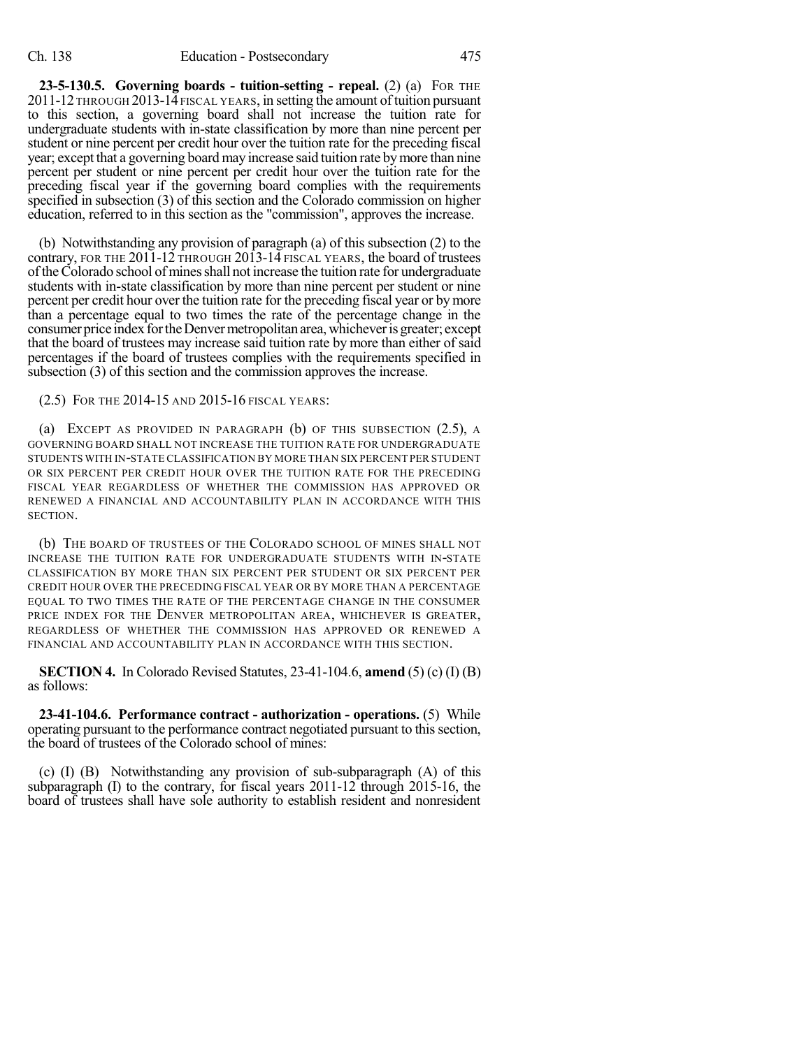**23-5-130.5. Governing boards - tuition-setting - repeal.** (2) (a) FOR THE 2011-12THROUGH 2013-14 FISCAL YEARS, in setting the amount oftuition pursuant to this section, a governing board shall not increase the tuition rate for undergraduate students with in-state classification by more than nine percent per student or nine percent per credit hour over the tuition rate for the preceding fiscal year; except that a governing board may increase said tuition rate bymore than nine percent per student or nine percent per credit hour over the tuition rate for the preceding fiscal year if the governing board complies with the requirements specified in subsection (3) of this section and the Colorado commission on higher education, referred to in this section as the "commission", approves the increase.

(b) Notwithstanding any provision of paragraph (a) of this subsection (2) to the contrary, FOR THE 2011-12 THROUGH 2013-14 FISCAL YEARS, the board of trustees oftheColorado school ofminesshall not increase the tuition rate for undergraduate students with in-state classification by more than nine percent per student or nine percent per credit hour over the tuition rate for the preceding fiscal year or bymore than a percentage equal to two times the rate of the percentage change in the consumer price index for the Denver metropolitan area, whichever is greater; except that the board of trustees may increase said tuition rate by more than either of said percentages if the board of trustees complies with the requirements specified in subsection (3) of this section and the commission approves the increase.

(2.5) FOR THE 2014-15 AND 2015-16 FISCAL YEARS:

(a) EXCEPT AS PROVIDED IN PARAGRAPH (b) OF THIS SUBSECTION (2.5), A GOVERNING BOARD SHALL NOT INCREASE THE TUITION RATE FOR UNDERGRADUATE STUDENTS WITH IN-STATE CLASSIFICATION BY MORE THAN SIX PERCENT PER STUDENT OR SIX PERCENT PER CREDIT HOUR OVER THE TUITION RATE FOR THE PRECEDING FISCAL YEAR REGARDLESS OF WHETHER THE COMMISSION HAS APPROVED OR RENEWED A FINANCIAL AND ACCOUNTABILITY PLAN IN ACCORDANCE WITH THIS SECTION.

(b) THE BOARD OF TRUSTEES OF THE COLORADO SCHOOL OF MINES SHALL NOT INCREASE THE TUITION RATE FOR UNDERGRADUATE STUDENTS WITH IN-STATE CLASSIFICATION BY MORE THAN SIX PERCENT PER STUDENT OR SIX PERCENT PER CREDIT HOUR OVER THE PRECEDING FISCAL YEAR OR BY MORE THAN A PERCENTAGE EQUAL TO TWO TIMES THE RATE OF THE PERCENTAGE CHANGE IN THE CONSUMER PRICE INDEX FOR THE DENVER METROPOLITAN AREA, WHICHEVER IS GREATER, REGARDLESS OF WHETHER THE COMMISSION HAS APPROVED OR RENEWED A FINANCIAL AND ACCOUNTABILITY PLAN IN ACCORDANCE WITH THIS SECTION.

**SECTION 4.** In Colorado Revised Statutes, 23-41-104.6, **amend** (5) (c) (I) (B) as follows:

**23-41-104.6. Performance contract - authorization - operations.** (5) While operating pursuant to the performance contract negotiated pursuant to thissection, the board of trustees of the Colorado school of mines:

(c) (I) (B) Notwithstanding any provision of sub-subparagraph (A) of this subparagraph (I) to the contrary, for fiscal years 2011-12 through 2015-16, the board of trustees shall have sole authority to establish resident and nonresident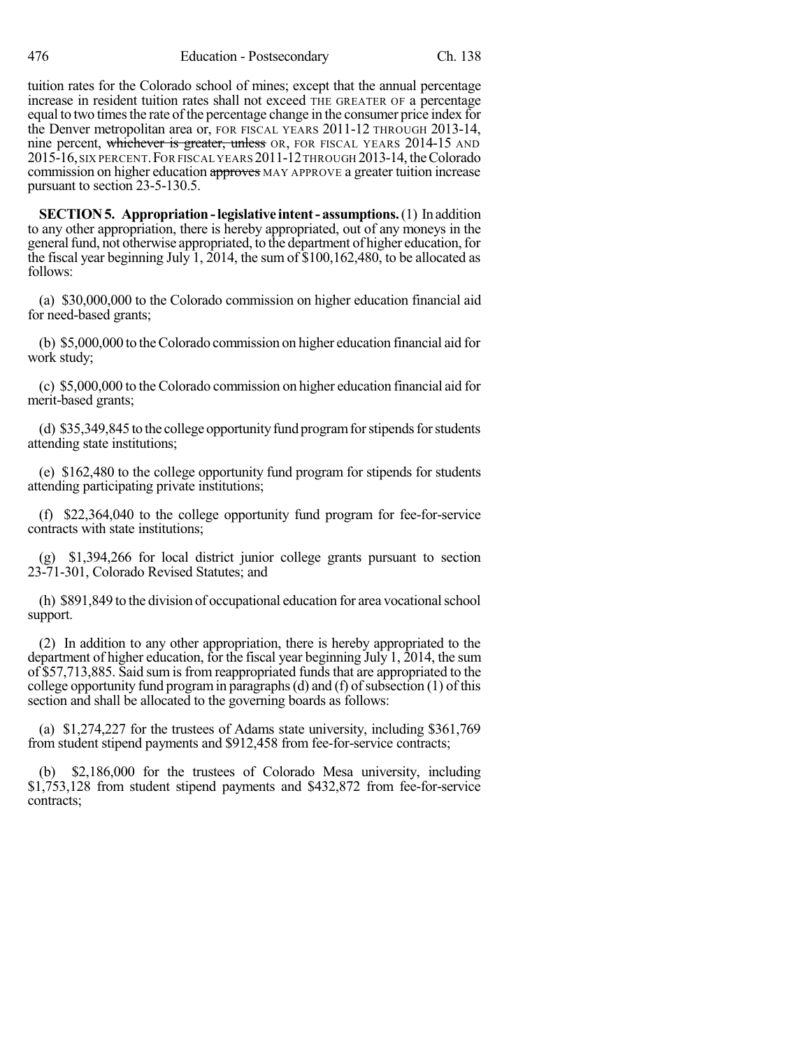tuition rates for the Colorado school of mines; except that the annual percentage increase in resident tuition rates shall not exceed THE GREATER OF a percentage equal to two times the rate of the percentage change in the consumer price index for the Denver metropolitan area or, FOR FISCAL YEARS 2011-12 THROUGH 2013-14, nine percent, whichever is greater, unless OR, FOR FISCAL YEARS 2014-15 AND 2015-16,SIX PERCENT.FOR FISCAL YEARS 2011-12THROUGH 2013-14, theColorado commission on higher education approves MAY APPROVE a greater tuition increase pursuant to section 23-5-130.5.

**SECTION5. Appropriation-legislative intent- assumptions.**(1) In addition to any other appropriation, there is hereby appropriated, out of any moneys in the general fund, not otherwise appropriated, to the department of higher education, for the fiscal year beginning July 1, 2014, the sum of  $$100,162,480$ , to be allocated as follows:

(a) \$30,000,000 to the Colorado commission on higher education financial aid for need-based grants;

(b) \$5,000,000 to theColorado commission on higher education financial aid for work study;

(c) \$5,000,000 to the Colorado commission on higher education financial aid for merit-based grants;

(d) \$35,349,845 to the college opportunity fund program for stipends for students attending state institutions;

(e) \$162,480 to the college opportunity fund program for stipends for students attending participating private institutions;

(f) \$22,364,040 to the college opportunity fund program for fee-for-service contracts with state institutions;

(g) \$1,394,266 for local district junior college grants pursuant to section 23-71-301, Colorado Revised Statutes; and

(h) \$891,849 to the division of occupational education for area vocationalschool support.

(2) In addition to any other appropriation, there is hereby appropriated to the department of higher education, for the fiscal year beginning July 1, 2014, the sum of \$57,713,885. Said sum is from reappropriated fundsthat are appropriated to the college opportunity fund program in paragraphs (d) and (f) of subsection  $(1)$  of this section and shall be allocated to the governing boards as follows:

(a) \$1,274,227 for the trustees of Adams state university, including \$361,769 from student stipend payments and \$912,458 from fee-for-service contracts;

(b) \$2,186,000 for the trustees of Colorado Mesa university, including \$1,753,128 from student stipend payments and \$432,872 from fee-for-service contracts;